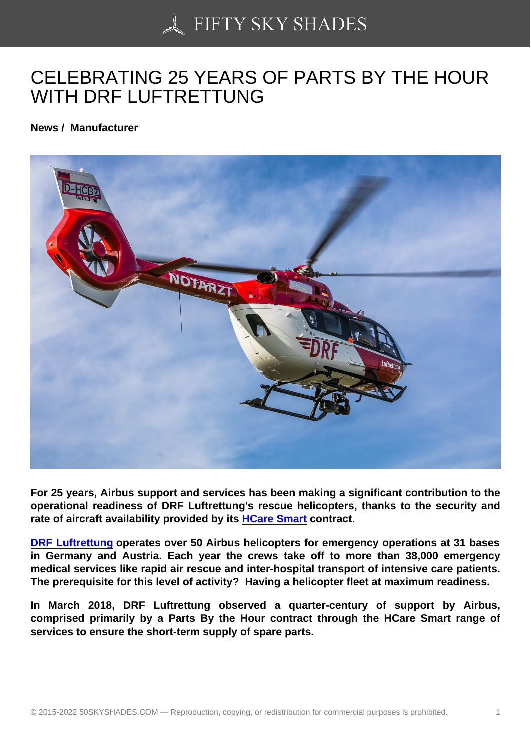## [CELEBRATING 25 YE](https://50skyshades.com)ARS OF PARTS BY THE HOUR WITH DRF LUFTRETTUNG

News / Manufacturer

For 25 years, Airbus support and services has been making a significant contribution to the operational readiness of DRF Luftrettung's rescue helicopters, thanks to the security and rate of aircraft availability provided by its HCare Smart contract.

DRF Luftrettung operates over 50 Airbus helicopters for emergency operations at 31 bases in Germany and Austria. Each year the crews take off to more than 38,000 emergency medical services like rapid air rescue and in[ter-hospital tra](http://www.airbus.com/helicopters/services/material-management.html)nsport of intensive care patients. [The prerequisite f](https://www.drf-luftrettung.de/)or this level of activity? Having a helicopter fleet at maximum readiness.

In March 2018, DRF Luftrettung observed a quarter-century of support by Airbus, comprised primarily by a Parts By the Hour contract through the HCare Smart range of services to ensure the short-term supply of spare parts.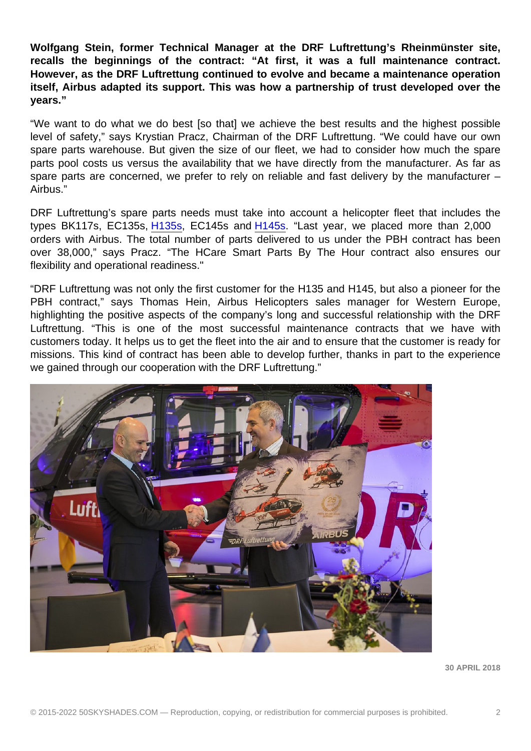Wolfgang Stein, former Technical Manager at the DRF Luftrettung's Rheinmünster site, recalls the beginnings of the contract: "At first, it was a full maintenance contract. However, as the DRF Luftrettung continued to evolve and became a maintenance operation itself, Airbus adapted its support. This was how a partnership of trust developed over the years."

"We want to do what we do best [so that] we achieve the best results and the highest possible level of safety," says Krystian Pracz, Chairman of the DRF Luftrettung. "We could have our own spare parts warehouse. But given the size of our fleet, we had to consider how much the spare parts pool costs us versus the availability that we have directly from the manufacturer. As far as spare parts are concerned, we prefer to rely on reliable and fast delivery by the manufacturer – Airbus."

DRF Luftrettung's spare parts needs must take into account a helicopter fleet that includes the types BK117s, EC135s, H135s, EC145s and H145s. "Last year, we placed more than 2,000 orders with Airbus. The total number of parts delivered to us under the PBH contract has been over 38,000," says Pracz. "The HCare Smart Parts By The Hour contract also ensures our flexibility and operational [readine](http://www.airbus.com/helicopters/civil-helicopters/light-twin/h135.html)ss."

"DRF Luftrettung was not only the first customer for the H135 and H145, but also a pioneer for the PBH contract," says Thomas Hein, Airbus Helicopters sales manager for Western Europe, highlighting the positive aspects of the company's long and successful relationship with the DRF Luftrettung. "This is one of the most successful maintenance contracts that we have with customers today. It helps us to get the fleet into the air and to ensure that the customer is ready for missions. This kind of contract has been able to develop further, thanks in part to the experience we gained through our cooperation with the DRF Luftrettung."

30 APRIL 2018